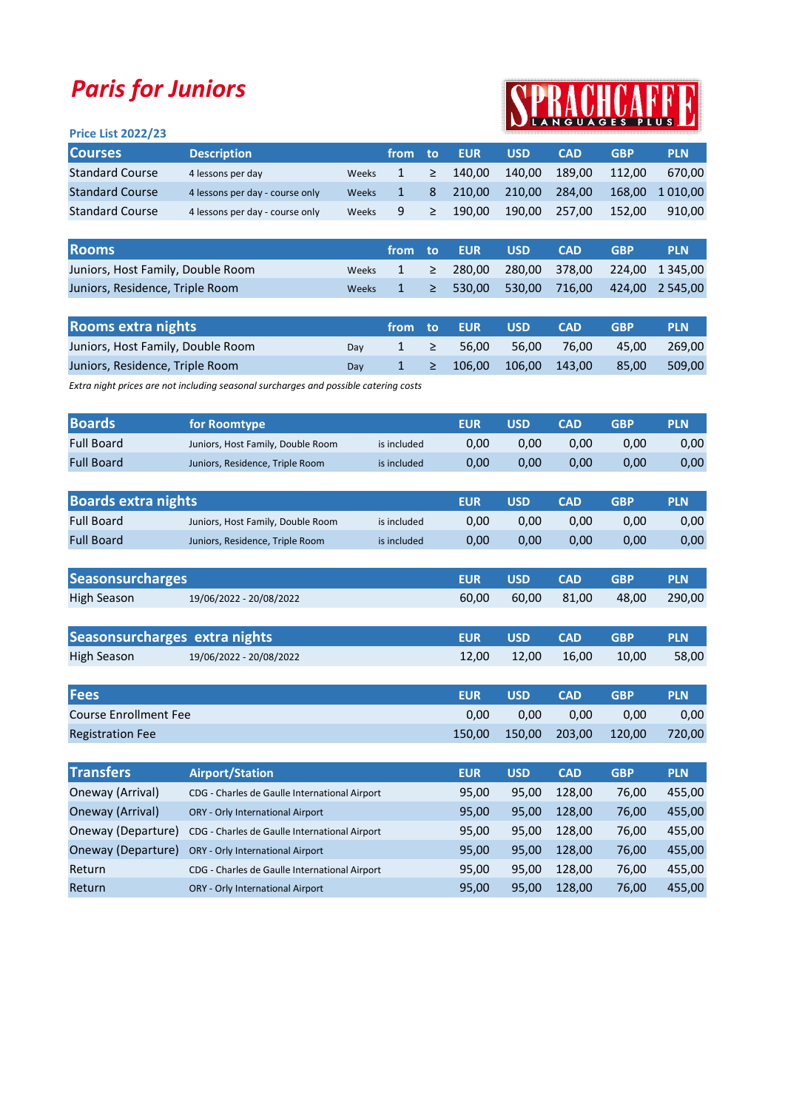## Paris for Juniors



## Price List 2022/23

| <b>Courses</b>         | <b>Description</b>              |              | from <b>A</b> | ∴ to   | <b>EUR</b> | <b>USD</b> | <b>CAD</b> | GBP    | <b>PLN</b> |
|------------------------|---------------------------------|--------------|---------------|--------|------------|------------|------------|--------|------------|
| <b>Standard Course</b> | 4 lessons per day               | Weeks        |               | $\geq$ | 140.00     | 140.00     | 189.00     | 112.00 | 670.00     |
| <b>Standard Course</b> | 4 lessons per day - course only | <b>Weeks</b> |               | 8      | 210.00     | 210.00     | 284.00     | 168.00 | 1 010.00   |
| <b>Standard Course</b> | 4 lessons per day - course only | <b>Weeks</b> | -9            | ≥      | 190.00     | 190.00     | 257.00     | 152.00 | 910.00     |

| <b>Rooms</b>                      |  | ا from to EUR | USD. | <b>CAD</b> | <b>GBP</b> | <b>PLN</b>                                                             |
|-----------------------------------|--|---------------|------|------------|------------|------------------------------------------------------------------------|
| Juniors, Host Family, Double Room |  |               |      |            |            | Weeks $1 \geq 280,00 \geq 280,00 \leq 378,00 \geq 224,00 \leq 1345,00$ |
| Juniors, Residence, Triple Room   |  |               |      |            |            | Weeks $1 \geq 530,00 \leq 530,00 \leq 716,00 \leq 424,00 \leq 545,00$  |

| <b>Rooms extra nights</b>         |     |  | $\blacksquare$ from to EUR $\blacksquare$ | <b>USD</b> | <b>CAD</b>                                | <b>GBP</b> | <b>PLN</b> |
|-----------------------------------|-----|--|-------------------------------------------|------------|-------------------------------------------|------------|------------|
| Juniors, Host Family, Double Room | Dav |  | $1 \geq 56,00$                            |            | 56.00 76.00                               | 45.00      | 269.00     |
| Juniors, Residence, Triple Room   | Dav |  |                                           |            | $1 \geq 106,00 \quad 106,00 \quad 143,00$ | 85.00      | 509,00     |

Extra night prices are not including seasonal surcharges and possible catering costs

| <b>Boards</b>              | for Roomtype                      |             | <b>EUR</b> | <b>USD</b> | <b>CAD</b> | <b>GBP</b> | <b>PLN</b> |
|----------------------------|-----------------------------------|-------------|------------|------------|------------|------------|------------|
| <b>Full Board</b>          | Juniors, Host Family, Double Room | is included | 0,00       | 0,00       | 0,00       | 0,00       | 0,00       |
| <b>Full Board</b>          | Juniors, Residence, Triple Room   | is included | 0,00       | 0,00       | 0,00       | 0,00       | 0,00       |
|                            |                                   |             |            |            |            |            |            |
| <b>Boards extra nights</b> |                                   |             | <b>EUR</b> | <b>USD</b> | <b>CAD</b> | <b>GBP</b> | <b>PLN</b> |
| <b>Full Board</b>          | Juniors, Host Family, Double Room | is included | 0,00       | 0.00       | 0,00       | 0,00       | 0,00       |
| <b>Full Board</b>          | Juniors, Residence, Triple Room   | is included | 0.00       | 0.00       | 0.00       | 0,00       | 0,00       |

| <b>Seasonsurcharges</b>       |                         | <b>EUR</b> | <b>USD</b> | <b>CAD</b> | <b>GBP</b> | <b>PLN</b> |
|-------------------------------|-------------------------|------------|------------|------------|------------|------------|
| <b>High Season</b>            | 19/06/2022 - 20/08/2022 | 60.00      | 60.00      | 81.00      | 48.00      | 290,00     |
|                               |                         |            |            |            |            |            |
| Seasonsurcharges extra nights |                         | <b>EUR</b> | USD        | <b>CAD</b> | <b>GBP</b> | <b>PLN</b> |
| <b>High Season</b>            | 19/06/2022 - 20/08/2022 | 12,00      | 12,00      | 16.00      | 10,00      | 58,00      |

| <b>Fees</b>             | <b>EUR</b> | <b>USD</b>    | <b>CAD</b> | <b>GBP</b> | <b>PLN</b> |
|-------------------------|------------|---------------|------------|------------|------------|
| Course Enrollment Fee   | 0.00       | 0.00          | 0.00       | 0.00       | 0,00       |
| <b>Registration Fee</b> | 150.00     | 150,00 203,00 |            | 120,00     | 720,00     |

| <b>Transfers</b>   | <b>Airport/Station</b>                        | <b>EUR</b> | <b>USD</b> | <b>CAD</b> | <b>GBP</b> | <b>PLN</b> |
|--------------------|-----------------------------------------------|------------|------------|------------|------------|------------|
| Oneway (Arrival)   | CDG - Charles de Gaulle International Airport | 95,00      | 95.00      | 128.00     | 76,00      | 455,00     |
| Oneway (Arrival)   | <b>ORY - Orly International Airport</b>       | 95,00      | 95.00      | 128.00     | 76,00      | 455,00     |
| Oneway (Departure) | CDG - Charles de Gaulle International Airport | 95,00      | 95.00      | 128.00     | 76,00      | 455,00     |
| Oneway (Departure) | ORY - Orly International Airport              | 95.00      | 95.00      | 128.00     | 76,00      | 455,00     |
| Return             | CDG - Charles de Gaulle International Airport | 95,00      | 95.00      | 128.00     | 76,00      | 455,00     |
| Return             | <b>ORY - Orly International Airport</b>       | 95,00      | 95,00      | 128.00     | 76,00      | 455,00     |